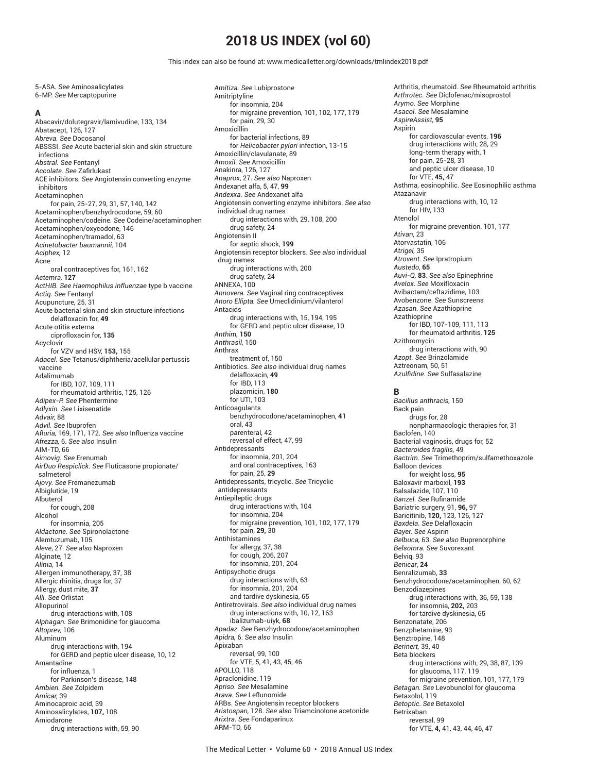# **2018 US INDEX (vol 60)**

This index can also be found at: www.medicalletter.org/downloads/tmlindex2018.pdf

5-ASA. *See* Aminosalicylates 6-MP. *See* Mercaptopurine **A** Abacavir/dolutegravir/lamivudine, 133, 134 Abatacept, 126, 127 *Abreva. See* Docosanol ABSSSI. *See* Acute bacterial skin and skin structure infections *Abstral. See* Fentanyl *Accolate. See* Zafi rlukast ACE inhibitors. *See* Angiotensin converting enzyme inhibitors Acetaminophen for pain, 25-27, 29, 31, 57, 140, 142 Acetaminophen/benzhydrocodone, 59, 60 Acetaminophen/codeine. *See* Codeine/acetaminophen Acetaminophen/oxycodone, 146 Acetaminophen/tramadol, 63 *Acinetobacter baumannii,* 104 *Aciphex,* 12 Acne oral contraceptives for, 161, 162 *Actemra,* **127** *ActHIB. See Haemophilus influenzae* type b vaccine *Actiq. See* Fentanyl Acupuncture, 25, 31 Acute bacterial skin and skin structure infections delafloxacin for, **49** Acute otitis externa ciprofloxacin for, **135 Acyclovir** for VZV and HSV, **153,** 155 *Adacel. See* Tetanus/diphtheria/acellular pertussis vaccine Adalimumab for IBD, 107, 109, 111 for rheumatoid arthritis, 125, 126 *Adipex-P. See* Phentermine *Adlyxin. See* Lixisenatide *Advair,* 88 *Advil. See* Ibuprofen *Afluria,* 169, 171, 172. *See also* Influenza vaccine *Afrezza,* 6. *See also* Insulin AIM-TD, 66 *Aimovig. See* Erenumab *AirDuo Respiclick. See* Fluticasone propionate/ salmeterol *Ajovy. See* Fremanezumab Albiglutide, 19 Albuterol for cough, 208 Alcohol for insomnia, 205 *Aldactone. See* Spironolactone Alemtuzumab, 105 *Aleve*, 27. *See also* Naproxen Alginate, 12 *Alinia*, 14 Allergen immunotherapy, 37, 38 Allergic rhinitis, drugs for, 37 Allergy, dust mite, **37** *Alli. See* Orlistat Allopurinol drug interactions with, 108 *Alphagan. See* Brimonidine for glaucoma *Altoprev,* 106 Aluminum drug interactions with, 194 for GERD and peptic ulcer disease, 10, 12 Amantadine for influenza, 1 for Parkinson's disease, 148 *Ambien. See* Zolpidem *Amicar,* 39 Aminocaproic acid, 39 Aminosalicylates, **107,** 108 Amiodarone drug interactions with, 59, 90

*Amitiza. See* Lubiprostone Amitriptyline for insomnia, 204 for migraine prevention, 101, 102, 177, 179 for pain, 29, 30 Amoxicillin for bacterial infections, 89 for *Helicobacter pylori* infection, 13-15 Amoxicillin/clavulanate, 89 *Amoxil. See* Amoxicillin Anakinra, 126, 127 *Anaprox*, 27. *See also* Naproxen Andexanet alfa, 5, 47, **99** *Andexxa. See* Andexanet alfa Angiotensin converting enzyme inhibitors. *See also* individual drug names drug interactions with, 29, 108, 200 drug safety, 24 Angiotensin II for septic shock, **199** Angiotensin receptor blockers. *See also* individual drug names drug interactions with, 200 drug safety, 24 ANNEXA, 100 *Annovera. See* Vaginal ring contraceptives *Anoro Ellipta. See* Umeclidinium/vilanterol Antacids drug interactions with, 15, 194, 195 for GERD and peptic ulcer disease, 10 *Anthim,* **150** *Anthrasil,* 150 Anthrax treatment of, 150 Antibiotics. *See also* individual drug names delafloxacin, **49** for IBD, 113 plazomicin, **180** for UTI, 103 Anticoagulants benzhydrocodone/acetaminophen, **41** oral, 43 parenteral, 42 reversal of effect, 47, 99 Antidepressants for insomnia, 201, 204 and oral contraceptives, 163 for pain, 25, **29** Antidepressants, tricyclic. *See* Tricyclic antidepressants Antiepileptic drugs drug interactions with, 104 for insomnia, 204 for migraine prevention, 101, 102, 177, 179 for pain, **29,** 30 Antihistamines for allergy, 37, 38 for cough, 206, 207 for insomnia, 201, 204 Antipsychotic drugs drug interactions with, 63 for insomnia, 201, 204 and tardive dyskinesia, 65 Antiretrovirals. *See also* individual drug names drug interactions with, 10, 12, 163 ibalizumab-uiyk, **68** *Apadaz. See* Benzhydrocodone/acetaminophen *Apidra,* 6. *See also* Insulin Apixaban reversal, 99, 100 for VTE, 5, 41, 43, 45, 46 APOLLO, 118 Apraclonidine, 119 *Apriso. See* Mesalamine *Arava. See* Leflunomide ARBs. *See* Angiotensin receptor blockers *Aristospan,* 128. *See also* Triamcinolone acetonide *Arixtra. See* Fondaparinux ARM-TD, 66

Arthritis, rheumatoid. *See* Rheumatoid arthritis *Arthrotec. See* Diclofenac/misoprostol *Arymo. See* Morphine *Asacol. See* Mesalamine *AspireAssist,* **95** Aspirin for cardiovascular events, **196** drug interactions with, 28, 29 long-term therapy with, 1 for pain, 25-28, 31 and peptic ulcer disease, 10 for VTE, **45,** 47 Asthma, eosinophilic. *See* Eosinophilic asthma Atazanavir drug interactions with, 10, 12 for HIV, 133 Atenolol for migraine prevention, 101, 177 *Ativan*, 23 Atorvastatin, 106 *Atrigel,* 35 *Atrovent. See* Ipratropium *Austedo*, **65** *Auvi-Q,* **83**. *See also* Epinephrine *Avelox. See* Moxifloxacin Avibactam/ceftazidime, 103 Avobenzone. *See* Sunscreens *Azasan. See* Azathioprine Azathioprine for IBD, 107-109, 111, 113 for rheumatoid arthritis, **125** Azithromycin drug interactions with, 90 *Azopt. See* Brinzolamide Aztreonam, 50, 51 *Azulfi dine. See* Sulfasalazine **B** *Bacillus anthracis,* 150

Back pain drugs for, 28 nonpharmacologic therapies for, 31 Baclofen, 140 Bacterial vaginosis, drugs for, 52 *Bacteroides fragilis,* 49 *Bactrim. See* Trimethoprim/sulfamethoxazole Balloon devices for weight loss, **95** Baloxavir marboxil, **193** Balsalazide, 107, 110 **Banzel.** See Rufinamide Bariatric surgery, 91, **96,** 97 Baricitinib, **120,** 123, 126, 127 *Baxdela. See* Delafloxacin *Bayer. See* Aspirin *Belbuca,* 63. *See also* Buprenorphine *Belsomra. See* Suvorexant Belviq, 93 *Benicar*, **24** Benralizumab, **33** Benzhydrocodone/acetaminophen, 60, 62 Benzodiazepines drug interactions with, 36, 59, 138 for insomnia, **202,** 203 for tardive dyskinesia, 65 Benzonatate, 206 Benzphetamine, 93 Benztropine, 148 *Berinert,* 39, 40 Beta blockers drug interactions with, 29, 38, 87, 139 for glaucoma, 117, 119 for migraine prevention, 101, 177, 179 *Betagan. See* Levobunolol for glaucoma Betaxolol, 119 *Betoptic. See* Betaxolol Betrixaban reversal, 99 for VTE, **4,** 41, 43, 44, 46, 47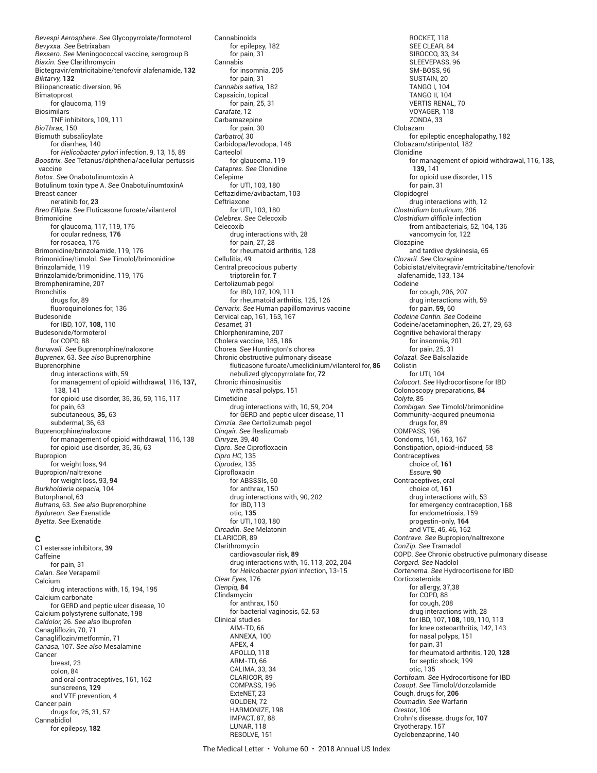*Bevespi Aerosphere. See* Glycopyrrolate/formoterol *Bevyxxa. See* Betrixaban *Bexsero. See* Meningococcal vaccine, serogroup B *Biaxin. See* Clarithromycin Bictegravir/emtricitabine/tenofovir alafenamide, **132** *Biktarvy,* **132** Biliopancreatic diversion, 96 Bimatoprost for glaucoma, 119 Biosimilars TNF inhibitors, 109, 111 *BioThrax,* 150 Bismuth subsalicylate for diarrhea, 140 for *Helicobacter pylori* infection, 9, 13, 15, 89 *Boostrix. See* Tetanus/diphtheria/acellular pertussis vaccine *Botox. See* Onabotulinumtoxin A Botulinum toxin type A. *See* OnabotulinumtoxinA Breast cancer neratinib for, **23** *Breo Ellipta. See* Fluticasone furoate/vilanterol Brimonidine for glaucoma, 117, 119, 176 for ocular redness, **176** for rosacea, 176 Brimonidine/brinzolamide, 119, 176 Brimonidine/timolol. *See* Timolol/brimonidine Brinzolamide, 119 Brinzolamide/brimonidine, 119, 176 Brompheniramine, 207 Bronchitis drugs for, 89 fluoroquinolones for, 136 Budesonide for IBD, 107, **108,** 110 Budesonide/formoterol for COPD, 88 *Bunavail. See* Buprenorphine/naloxone *Buprenex,* 63. *See also* Buprenorphine **Buprenorphine** drug interactions with, 59 for management of opioid withdrawal, 116, **137,** 138, 141 for opioid use disorder, 35, 36, 59, 115, 117 for pain, 63 subcutaneous, **35,** 63 subdermal, 36, 63 Buprenorphine/naloxone for management of opioid withdrawal, 116, 138 for opioid use disorder, 35, 36, 63 Bupropion for weight loss, 94 Bupropion/naltrexone for weight loss, 93, **94** *Burkholderia cepacia,* 104 Butorphanol, 63 *Butrans,* 63. *See also* Buprenorphine *Bydureon. See* Exenatide *Byetta. See* Exenatide

#### **C**

C1 esterase inhibitors, **39** Caffeine for pain, 31 *Calan. See* Verapamil Calcium drug interactions with, 15, 194, 195 Calcium carbonate for GERD and peptic ulcer disease, 10 Calcium polystyrene sulfonate, 198 *Caldolor,* 26. *See also* Ibuprofen Canagliflozin, 70, 71 Canagliflozin/metformin, 71 *Canasa,* 107. *See also* Mesalamine Cancer breast, 23 colon, 84 and oral contraceptives, 161, 162 sunscreens, **129** and VTE prevention, 4 Cancer pain drugs for, 25, 31, 57 Cannabidiol for epilepsy, **182**

for epilepsy, 182 for pain, 31 Cannabis for insomnia, 205 for pain, 31 *Cannabis sativa,* 182 Capsaicin, topical for pain, 25, 31 *Carafate*, 12 Carbamazepine for pain, 30 *Carbatrol,* 30 Carbidopa/levodopa, 148 Carteolol for glaucoma, 119 *Catapres. See* Clonidine Cefepime for UTI, 103, 180 Ceftazidime/avibactam, 103 Ceftriaxone for UTI, 103, 180 *Celebrex. See* Celecoxib Celecoxib drug interactions with, 28 for pain, 27, 28 for rheumatoid arthritis, 128 Cellulitis, 49 Central precocious puberty triptorelin for, **7** Certolizumab pegol for IBD, 107, 109, 111 for rheumatoid arthritis, 125, 126 *Cervarix. See* Human papillomavirus vaccine Cervical cap, 161, 163, 167 *Cesamet,* 31 Chlorpheniramine, 207 Cholera vaccine, 185, 186 Chorea. *See* Huntington's chorea Chronic obstructive pulmonary disease fluticasone furoate/umeclidinium/vilanterol for, **86** nebulized glycopyrrolate for, **72** Chronic rhinosinusitis with nasal polyps, 151 Cimetidine drug interactions with, 10, 59, 204 for GERD and peptic ulcer disease, 11 *Cimzia. See* Certolizumab pegol *Cinqair. See* Reslizumab *Cinryze,* 39, 40 *Cipro. See* Ciprofloxacin *Cipro HC*, 135 *Ciprodex*, 135 Ciprofloxacin for ABSSSIs, 50 for anthrax, 150 drug interactions with, 90, 202 for IBD, 113 otic, **135** for UTI, 103, 180 *Circadin. See* Melatonin CLARICOR, 89 Clarithromycin cardiovascular risk, **89** drug interactions with, 15, 113, 202, 204 for *Helicobacter pylori* infection, 13-15 *Clear Eyes*, 176 *Clenpiq,* **84** Clindamycin for anthrax, 150 for bacterial vaginosis, 52, 53 Clinical studies AIM-TD, 66 ANNEXA, 100 APEX, 4 APOLLO, 118 ARM-TD, 66 CALIMA, 33, 34 CLARICOR, 89 COMPASS, 196 ExteNET, 23 GOLDEN, 72 HARMONIZE, 198 IMPACT, 87, 88 LUNAR, 118 RESOLVE, 151

Cannabinoids

ROCKET, 118 SEE CLEAR, 84 SIROCCO, 33, 34 SLEEVEPASS, 96 SM-BOSS, 96 SUSTAIN, 20 TANGO I, 104 TANGO II, 104 VERTIS RENAL, 70 VOYAGER, 118 ZONDA, 33 Clobazam for epileptic encephalopathy, 182 Clobazam/stiripentol, 182 Clonidine for management of opioid withdrawal, 116, 138, **139,** 141 for opioid use disorder, 115 for pain, 31 Clopidogrel drug interactions with, 12 *Clostridium botulinum,* 206 *Clostridium diffi cile* infection from antibacterials, 52, 104, 136 vancomycin for, 122 Clozapine and tardive dyskinesia, 65 *Clozaril. See* Clozapine Cobicistat/elvitegravir/emtricitabine/tenofovir alafenamide, 133, 134 Codeine for cough, 206, 207 drug interactions with, 59 for pain, **59,** 60 *Codeine Contin. See* Codeine Codeine/acetaminophen, 26, 27, 29, 63 Cognitive behavioral therapy for insomnia, 201 for pain, 25, 31 *Colazal. See* Balsalazide Colistin for UTI, 104 *Colocort. See* Hydrocortisone for IBD Colonoscopy preparations, **84** *Colyte,* 85 *Combigan. See* Timolol/brimonidine Community-acquired pneumonia drugs for, 89 COMPASS, 196 Condoms, 161, 163, 167 Constipation, opioid-induced, 58 **Contraceptives** choice of, **161** *Essure,* **90** Contraceptives, oral choice of, **161** drug interactions with, 53 for emergency contraception, 168 for endometriosis, 159 progestin-only, **164** and VTE, 45, 46, 162 *Contrave. See* Bupropion/naltrexone *ConZip. See* Tramadol COPD. *See* Chronic obstructive pulmonary disease *Corgard. See* Nadolol *Cortenema. See* Hydrocortisone for IBD Corticosteroids for allergy, 37,38 for COPD, 88 for cough, 208 drug interactions with, 28 for IBD, 107, **108,** 109, 110, 113 for knee osteoarthritis, 142, 143 for nasal polyps, 151 for pain, 31 for rheumatoid arthritis, 120, **128** for septic shock, 199 otic, 135 *Cortifoam. See* Hydrocortisone for IBD *Cosopt. See* Timolol/dorzolamide Cough, drugs for, **206** *Coumadin. See* Warfarin *Crestor*, 106 Crohn's disease, drugs for, **107** Cryotherapy, 157 Cyclobenzaprine, 140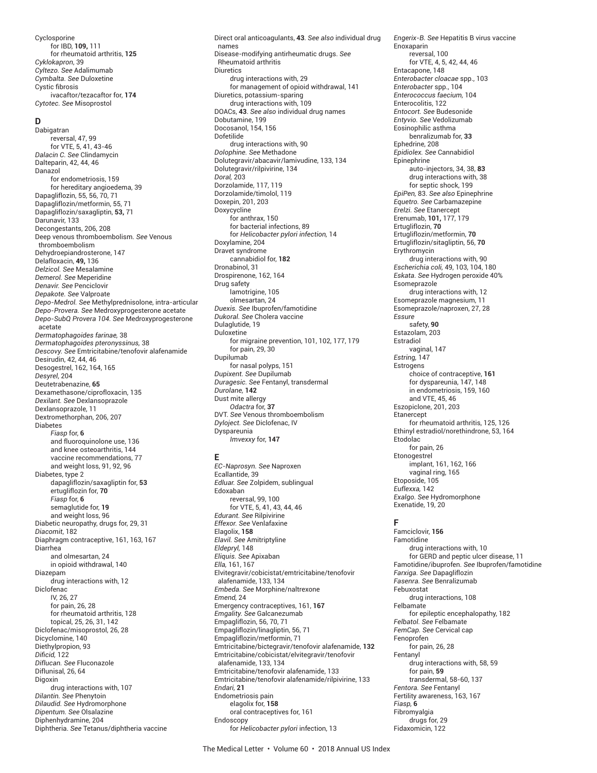Cyclosporine for IBD, **109,** 111 for rheumatoid arthritis, **125** *Cyklokapron*, 39 *Cyltezo. See* Adalimumab *Cymbalta. See* Duloxetine Cystic fibrosis ivacaftor/tezacaftor for, **174** *Cytotec. See* Misoprostol

### **D**

Dabigatran reversal, 47, 99 for VTE, 5, 41, 43-46 *Dalacin C. See* Clindamycin Dalteparin, 42, 44, 46 Danazol for endometriosis, 159 for hereditary angioedema, 39 Dapagliflozin, 55, 56, 70, 71 Dapagliflozin/metformin, 55, 71 Dapagliflozin/saxagliptin, **53,** 71 Darunavir, 133 Decongestants, 206, 208 Deep venous thromboembolism. *See* Venous thromboembolism Dehydroepiandrosterone, 147 Delafloxacin, **49,** 136 *Delzicol. See* Mesalamine *Demerol. See* Meperidine *Denavir. See* Penciclovir *Depakote. See* Valproate *Depo-Medrol. See* Methylprednisolone, intra-articular *Depo-Provera. See* Medroxyprogesterone acetate *Depo-SubQ Provera 104. See* Medroxyprogesterone acetate *Dermatophagoides farinae,* 38 *Dermatophagoides pteronyssinus,* 38 *Descovy. See* Emtricitabine/tenofovir alafenamide Desirudin, 42, 44, 46 Desogestrel, 162, 164, 165 *Desyrel*, 204 Deutetrabenazine, **65** Dexamethasone/ciprofloxacin, 135 *Dexilant. See* Dexlansoprazole Dexlansoprazole, 11 Dextromethorphan, 206, 207 Diabetes *Fiasp* for, **6** and fluoroquinolone use, 136 and knee osteoarthritis, 144 vaccine recommendations, 77 and weight loss, 91, 92, 96 Diabetes, type 2 dapagliflozin/saxagliptin for, **53** ertugliflozin for, **70** *Fiasp* for, **6** semaglutide for, **19** and weight loss, 96 Diabetic neuropathy, drugs for, 29, 31 *Diacomit*, 182 Diaphragm contraceptive, 161, 163, 167 Diarrhea and olmesartan, 24 in opioid withdrawal, 140 Diazepam drug interactions with, 12 Diclofenac IV, 26, 27 for pain, 26, 28 for rheumatoid arthritis, 128 topical, 25, 26, 31, 142 Diclofenac/misoprostol, 26, 28 Dicyclomine, 140 Diethylpropion, 93 *Difi cid,* 122 *Diflucan. See* Fluconazole Diflunisal, 26, 64 Digoxin drug interactions with, 107 *Dilantin. See* Phenytoin *Dilaudid. See* Hydromorphone *Dipentum. See* Olsalazine Diphenhydramine, 204 Diphtheria. *See* Tetanus/diphtheria vaccine

Direct oral anticoagulants, **43**. *See also* individual drug names Disease-modifying antirheumatic drugs. *See* Rheumatoid arthritis Diuretics drug interactions with, 29 for management of opioid withdrawal, 141 Diuretics, potassium-sparing drug interactions with, 109 DOACs, **43**. *See also* individual drug names Dobutamine, 199 Docosanol, 154, 156 Dofetilide drug interactions with, 90 *Dolophine. See* Methadone Dolutegravir/abacavir/lamivudine, 133, 134 Dolutegravir/rilpivirine, 134 *Doral,* 203 Dorzolamide, 117, 119 Dorzolamide/timolol, 119 Doxepin, 201, 203 Doxycycline for anthrax, 150 for bacterial infections, 89 for *Helicobacter pylori infection,* 14 Doxylamine, 204 Dravet syndrome cannabidiol for, **182** Dronabinol, 31 Drospirenone, 162, 164 Drug safety lamotrigine, 105 olmesartan, 24 *Duexis. See* Ibuprofen/famotidine *Dukoral. See* Cholera vaccine Dulaglutide, 19 Duloxetine for migraine prevention, 101, 102, 177, 179 for pain, 29, 30 Dupilumab for nasal polyps, 151 *Dupixent. See* Dupilumab *Duragesic. See* Fentanyl, transdermal *Durolane,* **142** Dust mite allergy *Odactra* for, **37** DVT. *See* Venous thromboembolism *Dyloject. See* Diclofenac, IV Dyspareunia *Imvexxy* for, **147**

## **E**

*EC-Naprosyn. See* Naproxen Ecallantide, 39 *Edluar. See* Zolpidem, sublingual Edoxaban reversal, 99, 100 for VTE, 5, 41, 43, 44, 46 *Edurant. See* Rilpivirine *Effexor. See* Venlafaxine Elagolix, **158** *Elavil. See* Amitriptyline *Eldepryl,* 148 *Eliquis. See* Apixaban *Ella,* 161, 167 Elvitegravir/cobicistat/emtricitabine/tenofovir alafenamide, 133, 134 *Embeda. See* Morphine/naltrexone *Emend,* 24 Emergency contraceptives, 161, **167** *Emgality. See* Galcanezumab Empagliflozin, 56, 70, 71 Empagliflozin/linagliptin, 56, 71 Empagliflozin/metformin, 71 Emtricitabine/bictegravir/tenofovir alafenamide, **132** Emtricitabine/cobicistat/elvitegravir/tenofovir alafenamide, 133, 134 Emtricitabine/tenofovir alafenamide, 133 Emtricitabine/tenofovir alafenamide/rilpivirine, 133 *Endari,* **21** Endometriosis pain elagolix for, **158** oral contraceptives for, 161 Endoscopy for *Helicobacter pylori* infection, 13

*Engerix-B. See* Hepatitis B virus vaccine Enoxaparin reversal, 100 for VTE, 4, 5, 42, 44, 46 Entacapone, 148 *Enterobacter cloacae* spp., 103 *Enterobacter* spp., 104 *Enterococcus faecium,* 104 Enterocolitis, 122 *Entocort. See* Budesonide *Entyvio. See* Vedolizumab Eosinophilic asthma benralizumab for, **33** Ephedrine, 208 *Epidiolex. See* Cannabidiol Epinephrine auto-injectors, 34, 38, **83** drug interactions with, 38 for septic shock, 199 *EpiPen,* 83. *See also* Epinephrine *Equetro. See* Carbamazepine *Erelzi. See* Etanercept Erenumab, **101,** 177, 179 Ertugliflozin, **70** Ertugliflozin/metformin, **70** Ertugliflozin/sitagliptin, 56, **70** Erythromycin drug interactions with, 90 *Escherichia coli,* 49, 103, 104, 180 *Eskata. See* Hydrogen peroxide 40% Esomeprazole drug interactions with, 12 Esomeprazole magnesium, 11 Esomeprazole/naproxen, 27, 28 *Essure* safety, **90** Estazolam, 203 Estradiol vaginal, 147 *Estring,* 147 Estrogens choice of contraceptive, **161** for dyspareunia, 147, 148 in endometriosis, 159, 160 and VTE, 45, 46 Eszopiclone, 201, 203 Etanercept for rheumatoid arthritis, 125, 126 Ethinyl estradiol/norethindrone, 53, 164 Etodolac for pain, 26 Etonogestrel implant, 161, 162, 166 vaginal ring, 165 Etoposide, 105 *Euflexxa,* 142 *Exalgo. See* Hydromorphone

#### **F**

Exenatide, 19, 20

Famciclovir, **156** Famotidine drug interactions with, 10 for GERD and peptic ulcer disease, 11 Famotidine/ibuprofen. *See* Ibuprofen/famotidine *Farxiga. See* Dapagliflozin *Fasenra. See* Benralizumab Febuxostat drug interactions, 108 Felbamate for epileptic encephalopathy, 182 *Felbatol. See* Felbamate *FemCap. See* Cervical cap Fenoprofen for pain, 26, 28 Fentanyl drug interactions with, 58, 59 for pain, **59** transdermal, 58-60, 137 *Fentora. See* Fentanyl Fertility awareness, 163, 167 *Fiasp,* **6** Fibromyalgia drugs for, 29 Fidaxomicin, 122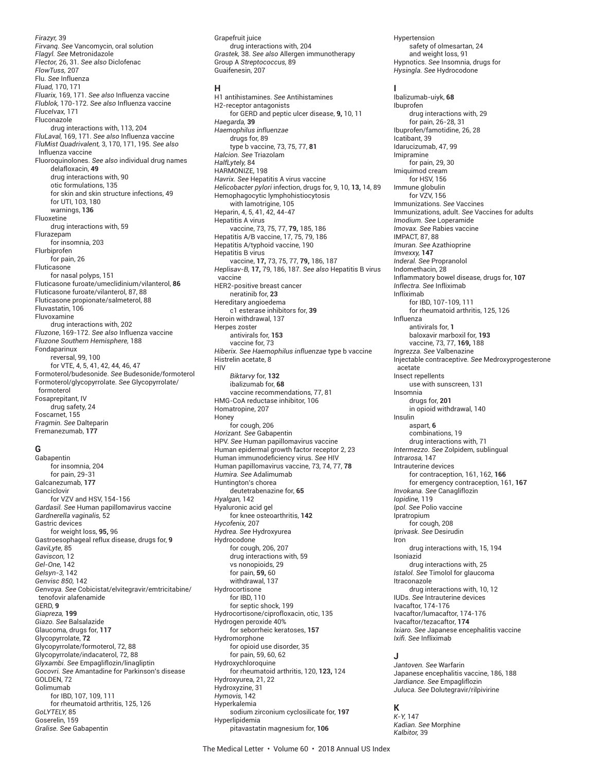*Firazyr,* 39 *Firvanq. See* Vancomycin, oral solution *Flagyl. See* Metronidazole *Flector,* 26, 31. *See also* Diclofenac *FlowTuss,* 207 Flu. *See* Influenza *Fluad,* 170, 171 *Fluarix,* 169, 171. *See also* Influenza vaccine *Flublok,* 170-172. *See also* Influenza vaccine *FluceIvax,* 171 Fluconazole drug interactions with, 113, 204 *FluLaval,* 169, 171. *See also* Influenza vaccine *FluMist Quadrivalent,* 3, 170, 171, 195. *See also* Influenza vaccine Fluoroquinolones. *See also* individual drug names delafloxacin, **49** drug interactions with, 90 otic formulations, 135 for skin and skin structure infections, 49 for UTI, 103, 180 warnings, **136** Fluoxetine drug interactions with, 59 Flurazepam for insomnia, 203 Flurbiprofen for pain, 26 Fluticasone for nasal polyps, 151 Fluticasone furoate/umeclidinium/vilanterol, **86** Fluticasone furoate/vilanterol, 87, 88 Fluticasone propionate/salmeterol, 88 Fluvastatin, 106 Fluvoxamine drug interactions with, 202 *Fluzone*, 169-172. *See also* Influenza vaccine *Fluzone Southern Hemisphere,* 188 Fondaparinux reversal, 99, 100 for VTE, 4, 5, 41, 42, 44, 46, 47 Formoterol/budesonide. *See* Budesonide/formoterol Formoterol/glycopyrrolate. *See* Glycopyrrolate/ formoterol Fosaprepitant, IV drug safety, 24 Foscarnet, 155 *Fragmin. See* Dalteparin Fremanezumab, **177**

#### **G**

Gabapentin for insomnia, 204 for pain, 29-31 Galcanezumab, **177** Ganciclovir for VZV and HSV, 154-156 *Gardasil. See* Human papillomavirus vaccine *Gardnerella vaginalis,* 52 Gastric devices for weight loss, **95,** 96 Gastroesophageal reflux disease, drugs for, **9** *GaviLyte,* 85 *Gaviscon,* 12 *Gel-One,* 142 *Gelsyn-3,* 142 *Genvisc 850,* 142 *Genvoya. See* Cobicistat/elvitegravir/emtricitabine/ tenofovir alafenamide GERD, **9** *Giapreza,* **199** *Giazo. See* Balsalazide Glaucoma, drugs for, **117** Glycopyrrolate, **72** Glycopyrrolate/formoterol, 72, 88 Glycopyrrolate/indacaterol, 72, 88 *Glyxambi. See* Empagliflozin/linagliptin *Gocovri. See* Amantadine for Parkinson's disease GOLDEN, 72 Golimumab for IBD, 107, 109, 111 for rheumatoid arthritis, 125, 126 *GoLYTELY,* 85 Goserelin, 159 *Gralise. See* Gabapentin

Grapefruit juice drug interactions with, 204 *Grastek,* 38. *See also* Allergen immunotherapy Group A *Streptococcus,* 89 Guaifenesin, 207

#### **H**

H1 antihistamines. *See* Antihistamines H2-receptor antagonists for GERD and peptic ulcer disease, **9,** 10, 11 *Haegarda,* **39** *Haemophilus influenzae* drugs for, 89 type b vaccine, 73, 75, 77, **81** *Halcion. See* Triazolam *HalfLytely,* 84 HARMONIZE, 198 *Havrix. See* Hepatitis A virus vaccine *Helicobacter pylori* infection, drugs for, 9, 10, **13,** 14, 89 Hemophagocytic lymphohistiocytosis with lamotrigine, 105 Heparin, 4, 5, 41, 42, 44-47 Hepatitis A virus vaccine, 73, 75, 77, **79,** 185, 186 Hepatitis A/B vaccine, 17, 75, 79, 186 Hepatitis A/typhoid vaccine, 190 Hepatitis B virus vaccine, **17,** 73, 75, 77, **79,** 186, 187 *Heplisav-B,* **17,** 79, 186, 187. *See also* Hepatitis B virus vaccine HER2-positive breast cancer neratinib for, **23** Hereditary angioedema c1 esterase inhibitors for, **39** Heroin withdrawal, 137 Herpes zoster antivirals for, **153** vaccine for, 73 *Hiberix. See Haemophilus influenzae* type b vaccine Histrelin acetate, 8 HIV *Biktarvy* for, **132** ibalizumab for, **68** vaccine recommendations, 77, 81 HMG-CoA reductase inhibitor, 106 Homatropine, 207 Honey for cough, 206 *Horizant. See* Gabapentin HPV. *See* Human papillomavirus vaccine Human epidermal growth factor receptor 2, 23 Human immunodefi ciency virus. *See* HIV Human papillomavirus vaccine, 73, 74, 77, **78** *Humira. See* Adalimumab Huntington's chorea deutetrabenazine for, **65** *Hyalgan,* 142 Hyaluronic acid gel for knee osteoarthritis, **142** *Hycofenix,* 207 *Hydrea. See* Hydroxyurea Hydrocodone for cough, 206, 207 drug interactions with, 59 vs nonopioids, 29 for pain, **59,** 60 withdrawal, 137 Hydrocortisone for IBD, 110 for septic shock, 199 Hydrocortisone/ciprofloxacin, otic, 135 Hydrogen peroxide 40% for seborrheic keratoses, **157** Hydromorphone for opioid use disorder, 35 for pain, 59, 60, 62 Hydroxychloroquine for rheumatoid arthritis, 120, **123,** 124 Hydroxyurea, 21, 22 Hydroxyzine, 31 *Hymovis,* 142 Hyperkalemia sodium zirconium cyclosilicate for, **197** Hyperlipidemia pitavastatin magnesium for, **106**

Hypertension safety of olmesartan, 24 and weight loss, 91 Hypnotics. *See* Insomnia, drugs for *Hysingla. See* Hydrocodone

#### **I**

Ibalizumab-uiyk, **68** Ibuprofen drug interactions with, 29 for pain, 26-28, 31 Ibuprofen/famotidine, 26, 28 Icatibant, 39 Idarucizumab, 47, 99 Imipramine for pain, 29, 30 Imiquimod cream for HSV, 156 Immune globulin for VZV, 156 Immunizations. *See* Vaccines Immunizations, adult. *See* Vaccines for adults *Imodium. See* Loperamide *Imovax. See* Rabies vaccine IMPACT, 87, 88 *Imuran. See* Azathioprine *Imvexxy,* **147** *Inderal. See* Propranolol Indomethacin, 28 Inflammatory bowel disease, drugs for, **107** *Inflectra. See* Infliximab Infliximab for IBD, 107-109, 111 for rheumatoid arthritis, 125, 126 Influenza antivirals for, **1** baloxavir marboxil for, **193** vaccine, 73, 77, **169,** 188 *Ingrezza. See* Valbenazine Injectable contraceptive. *See* Medroxyprogesterone acetate Insect repellents use with sunscreen, 131 Insomnia drugs for, **201** in opioid withdrawal, 140 Insulin aspart, **6** combinations, 19 drug interactions with, 71 *Intermezzo. See* Zolpidem, sublingual *Intrarosa,* 147 Intrauterine devices for contraception, 161, 162, **166** for emergency contraception, 161, **167** *Invokana. See* Canagliflozin *Iopidine,* 119 *Ipol. See* Polio vaccine Ipratropium for cough, 208 *Iprivask. See* Desirudin Iron drug interactions with, 15, 194 Isoniazid drug interactions with, 25 *Istalol. See* Timolol for glaucoma Itraconazole drug interactions with, 10, 12 IUDs. *See* Intrauterine devices Ivacaftor, 174-176 Ivacaftor/lumacaftor, 174-176 Ivacaftor/tezacaftor, **174** *Ixiaro. See* Japanese encephalitis vaccine *Ixifi . See* Infliximab

#### **J**

*Jantoven. See* Warfarin Japanese encephalitis vaccine, 186, 188 *Jardiance. See* Empagliflozin *Juluca. See* Dolutegravir/rilpivirine

#### **K**

*K-Y,* 147 *Kadian. See* Morphine *Kalbitor,* 39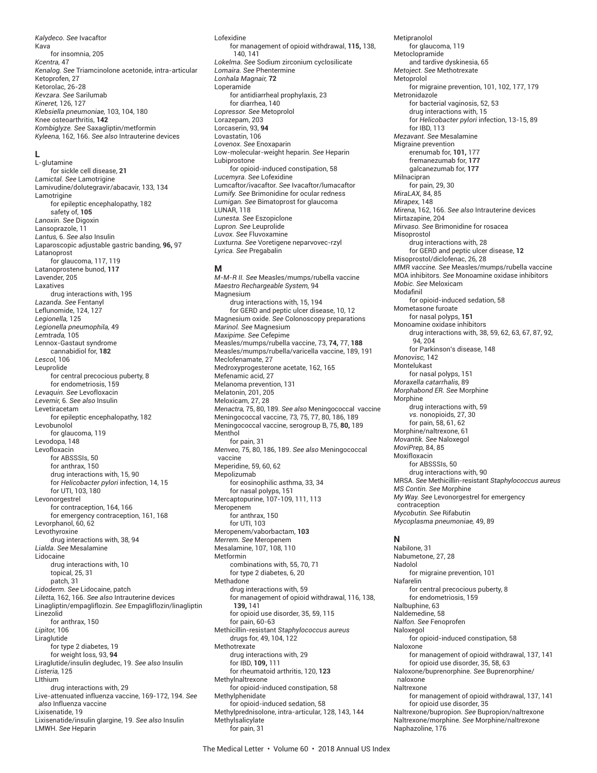*Kalydeco. See* Ivacaftor Kava for insomnia, 205 *Kcentra,* 47 *Kenalog. See* Triamcinolone acetonide, intra-articular Ketoprofen, 27 Ketorolac, 26-28 *Kevzara. See* Sarilumab *Kineret,* 126, 127 *Klebsiella pneumoniae,* 103, 104, 180 Knee osteoarthritis, **142** *Kombiglyze. See* Saxagliptin/metformin *Kyleena,* 162, 166. *See also* Intrauterine devices

## **L**

L-glutamine for sickle cell disease, **21** *Lamictal. See* Lamotrigine Lamivudine/dolutegravir/abacavir, 133, 134 Lamotrigine for epileptic encephalopathy, 182 safety of, **105** *Lanoxin. See* Digoxin Lansoprazole, 11 *Lantus,* 6. *See also* Insulin Laparoscopic adjustable gastric banding, **96,** 97 Latanoprost for glaucoma, 117, 119 Latanoprostene bunod, **117** Lavender, 205 Laxatives drug interactions with, 195 *Lazanda. See* Fentanyl Leflunomide, 124, 127 *Legionella,* 125 *Legionella pneumophila,* 49 *Lemtrada,* 105 Lennox-Gastaut syndrome cannabidiol for, **182** *Lescol,* 106 Leuprolide for central precocious puberty, 8 for endometriosis, 159 *Levaquin. See* Levofloxacin *Levemir,* 6. *See also* Insulin Levetiracetam for epileptic encephalopathy, 182 Levobunolol for glaucoma, 119 Levodopa, 148 Levofloxacin for ABSSSIs, 50 for anthrax, 150 drug interactions with, 15, 90 for *Helicobacter pylori* infection, 14, 15 for UTI, 103, 180 Levonorgestrel for contraception, 164, 166 for emergency contraception, 161, 168 Levorphanol, 60, 62 Levothyroxine drug interactions with, 38, 94 *Lialda. See* Mesalamine Lidocaine drug interactions with, 10 topical, 25, 31 patch, 31 *Lidoderm. See* Lidocaine, patch *Liletta,* 162, 166. *See also* Intrauterine devices Linagliptin/empagliflozin. *See* Empagliflozin/linagliptin Linezolid for anthrax, 150 *Lipitor,* 106 Liraglutide for type 2 diabetes, 19 for weight loss, 93, **94** Liraglutide/insulin degludec, 19. *See also* Insulin *Listeria,* 125 LIthium drug interactions with, 29 Live-attenuated influenza vaccine, 169-172, 194. *See also* Influenza vaccine Lixisenatide, 19 Lixisenatide/insulin glargine, 19. *See also* Insulin LMWH. *See* Heparin

Lofexidine for management of opioid withdrawal, **115,** 138, 140, 141 *Lokelma. See* Sodium zirconium cyclosilicate *Lomaira. See* Phentermine *Lonhala Magnair,* **72** Loperamide for antidiarrheal prophylaxis, 23 for diarrhea, 140 *Lopressor. See* Metoprolol Lorazepam, 203 Lorcaserin, 93, **94** Lovastatin, 106 *Lovenox. See* Enoxaparin Low-molecular-weight heparin. *See* Heparin Lubiprostone for opioid-induced constipation, 58 *Lucemyra. See* Lofexidine Lumcaftor/ivacaftor. *See* Ivacaftor/lumacaftor *Lumify. See* Brimonidine for ocular redness *Lumigan. See* Bimatoprost for glaucoma LUNAR, 118 *Lunesta. See* Eszopiclone *Lupron. See* Leuprolide *Luvox. See* Fluvoxamine *Luxturna. See* Voretigene neparvovec-rzyl *Lyrica. See* Pregabalin

#### **M**

*M-M-R II. See* Measles/mumps/rubella vaccine *Maestro Rechargeable System,* 94 Magnesium drug interactions with, 15, 194 for GERD and peptic ulcer disease, 10, 12 Magnesium oxide. *See* Colonoscopy preparations *Marinol. See* Magnesium *Maxipime. See* Cefepime Measles/mumps/rubella vaccine, 73, **74,** 77, **188** Measles/mumps/rubella/varicella vaccine, 189, 191 Meclofenamate, 27 Medroxyprogesterone acetate, 162, 165 Mefenamic acid, 27 Melanoma prevention, 131 Melatonin, 201, 205 Meloxicam, 27, 28 *Menactra,* 75, 80, 189. *See also* Meningococcal vaccine Meningococcal vaccine, 73, 75, 77, 80, 186, 189 Meningococcal vaccine, serogroup B, 75, **80,** 189 **Menthol** for pain, 31 *Menveo,* 75, 80, 186, 189. *See also* Meningococcal vaccine Meperidine, 59, 60, 62 Mepolizumab for eosinophilic asthma, 33, 34 for nasal polyps, 151 Mercaptopurine, 107-109, 111, 113 Meropenem for anthrax, 150 for UTI, 103 Meropenem/vaborbactam, **103** *Merrem. See* Meropenem Mesalamine, 107, 108, 110 Metformin combinations with, 55, 70, 71 for type 2 diabetes, 6, 20 Methadone drug interactions with, 59 for management of opioid withdrawal, 116, 138, **139,** 141 for opioid use disorder, 35, 59, 115 for pain, 60-63 Methicillin-resistant *Staphylococcus aureus* drugs for, 49, 104, 122 Methotrexate drug interactions with, 29 for IBD, **109,** 111 for rheumatoid arthritis, 120, **123** Methylnaltrexone for opioid-induced constipation, 58 Methylphenidate for opioid-induced sedation, 58 Methylprednisolone, intra-articular, 128, 143, 144 Methylsalicylate

Metipranolol for glaucoma, 119 Metoclopramide and tardive dyskinesia, 65 *Metoject. See* Methotrexate Metoprolol for migraine prevention, 101, 102, 177, 179 Metronidazole for bacterial vaginosis, 52, 53 drug interactions with, 15 for *Helicobacter pylori* infection, 13-15, 89 for IBD, 113 *Mezavant. See* Mesalamine Migraine prevention erenumab for, **101,** 177 fremanezumab for, **177** galcanezumab for, **177** Milnacipran for pain, 29, 30 *MiraLAX,* 84, 85 *Mirapex,* 148 *Mirena,* 162, 166. *See also* Intrauterine devices Mirtazapine, 204 *Mirvaso. See* Brimonidine for rosacea Misoprostol drug interactions with, 28 for GERD and peptic ulcer disease, **12** Misoprostol/diclofenac, 26, 28 *MMR vaccine. See* Measles/mumps/rubella vaccine MOA inhibitors. *See* Monoamine oxidase inhibitors *Mobic. See* Meloxicam Modafinil for opioid-induced sedation, 58 Mometasone furoate for nasal polyps, **151** Monoamine oxidase inhibitors drug interactions with, 38, 59, 62, 63, 67, 87, 92, 94, 204 for Parkinson's disease, 148 *Monovisc,* 142 Montelukast for nasal polyps, 151 *Moraxella catarrhalis,* 89 *Morphabond ER. See* Morphine Morphine drug interactions with, 59 *vs.* nonopioids, 27, 30 for pain, 58, 61, 62 Morphine/naltrexone, 61 *Movantik. See* Naloxegol *MoviPrep,* 84, 85 Moxifloxacin for ABSSSIs, 50 drug interactions with, 90 MRSA. *See* Methicillin-resistant *Staphylococcus aureus MS Contin. See* Morphine *My Way. See* Levonorgestrel for emergency contraception *Mycobutin. See* Rifabutin *Mycoplasma pneumoniae,* 49, 89 **N** Nabilone, 31 Nabumetone, 27, 28 Nadolol for migraine prevention, 101 Nafarelin for central precocious puberty, 8 for endometriosis, 159 Nalbuphine, 63 Naldemedine, 58 *Nalfon. See* Fenoprofen

Naloxegol for opioid-induced constipation, 58 Naloxone for management of opioid withdrawal, 137, 141 for opioid use disorder, 35, 58, 63 Naloxone/buprenorphine. *See* Buprenorphine/ naloxone Naltrexone for management of opioid withdrawal, 137, 141 for opioid use disorder, 35 Naltrexone/bupropion. *See* Bupropion/naltrexone Naltrexone/morphine. *See* Morphine/naltrexone Naphazoline, 176

for pain, 31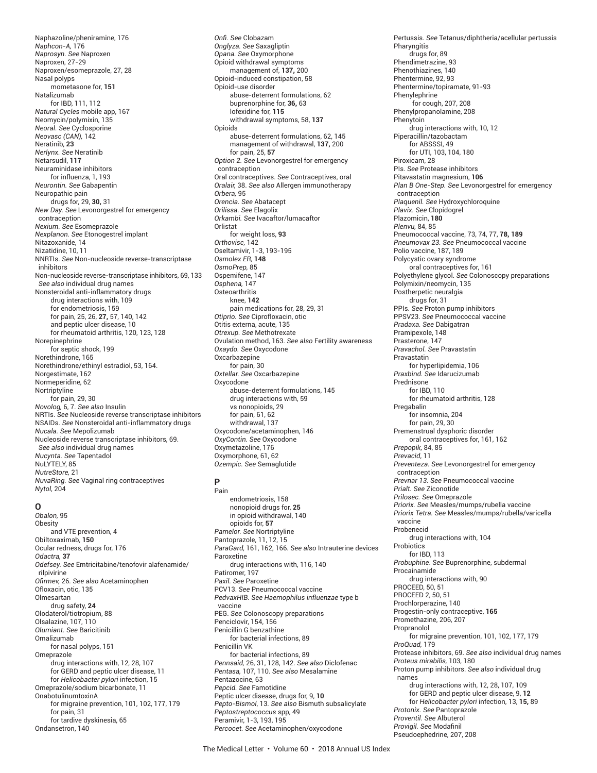Naphazoline/pheniramine, 176 *Naphcon-A,* 176 *Naprosyn. See* Naproxen Naproxen, 27-29 Naproxen/esomeprazole, 27, 28 Nasal polyps mometasone for, **151** Natalizumab for IBD, 111, 112 *Natural Cycles* mobile app, 167 Neomycin/polymixin, 135 *Neoral. See* Cyclosporine *Neovasc (CAN),* 142 Neratinib, **23** *Nerlynx. See* Neratinib Netarsudil, **117** Neuraminidase inhibitors for influenza, 1, 193 *Neurontin. See* Gabapentin Neuropathic pain drugs for, 29, **30,** 31 *New Day. See* Levonorgestrel for emergency contraception *Nexium. See* Esomeprazole *Nexplanon. See* Etonogestrel implant Nitazoxanide, 14 Nizatidine, 10, 11 NNRTIs. *See* Non-nucleoside reverse-transcriptase inhibitors Non-nucleoside reverse-transcriptase inhibitors, 69, 133 *See also* individual drug names Nonsteroidal anti-inflammatory drugs drug interactions with, 109 for endometriosis, 159 for pain, 25, 26, **27,** 57, 140, 142 and peptic ulcer disease, 10 for rheumatoid arthritis, 120, 123, 128 Norepinephrine for septic shock, 199 Norethindrone, 165 Norethindrone/ethinyl estradiol, 53, 164. Norgestimate, 162 Normeperidine, 62 Nortriptyline for pain, 29, 30 *Novolog,* 6, 7. *See also* Insulin NRTIs. *See* Nucleoside reverse transcriptase inhibitors NSAIDs. *See* Nonsteroidal anti-inflammatory drugs *Nucala. See* Mepolizumab Nucleoside reverse transcriptase inhibitors, 69. *See also* individual drug names *Nucynta. See* Tapentadol NuLYTELY, 85 *NutreStore,* 21 *NuvaRing. See* Vaginal ring contraceptives

#### **O**

*Nytol,* 204

*Obalon,* 95 **Obesity** and VTE prevention, 4 Obiltoxaximab, **150** Ocular redness, drugs for, 176 *Odactra,* **37** *Odefsey. See* Emtricitabine/tenofovir alafenamide/ rilpivirine *Ofi rmev,* 26. *See also* Acetaminophen Ofloxacin, otic, 135 Olmesartan drug safety, **24** Olodaterol/tiotropium, 88 Olsalazine, 107, 110 *Olumiant. See* Baricitinib Omalizumab for nasal polyps, 151 Omeprazole drug interactions with, 12, 28, 107 for GERD and peptic ulcer disease, 11 for *Helicobacter pylori* infection, 15 Omeprazole/sodium bicarbonate, 11 OnabotulinumtoxinA for migraine prevention, 101, 102, 177, 179 for pain, 31 for tardive dyskinesia, 65 Ondansetron, 140

*Onfi . See* Clobazam *Onglyza. See* Saxagliptin *Opana. See* Oxymorphone Opioid withdrawal symptoms management of, **137,** 200 Opioid-induced constipation, 58 Opioid-use disorder abuse-deterrent formulations, 62 buprenorphine for, **36,** 63 lofexidine for, **115** withdrawal symptoms, 58, **137** Opioids abuse-deterrent formulations, 62, 145 management of withdrawal, **137,** 200 for pain, 25, **57** *Option 2. See* Levonorgestrel for emergency contraception Oral contraceptives. *See* Contraceptives, oral *Oralair,* 38. *See also* Allergen immunotherapy *Orbera,* 95 *Orencia. See* Abatacept *Orilissa. See* Elagolix *Orkambi. See* Ivacaftor/lumacaftor Orlistat for weight loss, **93** *Orthovisc,* 142 Oseltamivir, 1-3, 193-195 *Osmolex ER,* **148** *OsmoPrep,* 85 Ospemifene, 147 *Osphena,* 147 **Osteoarthritis** knee, **142** pain medications for, 28, 29, 31 *Otiprio. See* Ciprofloxacin, otic Otitis externa, acute, 135 *Otrexup. See* Methotrexate Ovulation method, 163. *See also* Fertility awareness *Oxaydo. See* Oxycodone Oxcarbazepine for pain, 30 *Oxtellar. See* Oxcarbazepine Oxycodone abuse-deterrent formulations, 145 drug interactions with, 59 vs nonopioids, 29 for pain, 61, 62 withdrawal, 137 Oxycodone/acetaminophen, 146 *OxyContin. See* Oxycodone Oxymetazoline, 176 Oxymorphone, 61, 62 *Ozempic. See* Semaglutide

## **P**

Pain endometriosis, 158 nonopioid drugs for, **25** in opioid withdrawal, 140 opioids for, **57** *Pamelor. See* Nortriptyline Pantoprazole, 11, 12, 15 *ParaGard,* 161, 162, 166. *See also* Intrauterine devices Paroxetine drug interactions with, 116, 140 Patiromer, 197 *Paxil. See* Paroxetine PCV13. *See* Pneumococcal vaccine *PedvaxHIB. See Haemophilus influenzae* type b vaccine PEG. *See* Colonoscopy preparations Penciclovir, 154, 156 Penicillin G benzathine for bacterial infections, 89 Penicillin VK for bacterial infections, 89 *Pennsaid,* 26, 31, 128, 142. *See also* Diclofenac *Pentasa,* 107, 110. *See also* Mesalamine Pentazocine, 63 *Pepcid. See* Famotidine Peptic ulcer disease, drugs for, 9, **10** *Pepto-Bismol*, 13. *See also* Bismuth subsalicylate *Peptostreptococcus* spp, 49 Peramivir, 1-3, 193, 195 *Percocet. See* Acetaminophen/oxycodone

Pertussis. *See* Tetanus/diphtheria/acellular pertussis **Pharyngitis** drugs for, 89 Phendimetrazine, 93 Phenothiazines, 140 Phentermine, 92, 93 Phentermine/topiramate, 91-93 Phenylephrine for cough, 207, 208 Phenylpropanolamine, 208 Phenytoin drug interactions with, 10, 12 Piperacillin/tazobactam for ABSSSI, 49 for UTI, 103, 104, 180 Piroxicam, 28 PIs. *See* Protease inhibitors Pitavastatin magnesium, **106** *Plan B One-Step. See* Levonorgestrel for emergency contraception *Plaquenil. See* Hydroxychloroquine *Plavix. See* Clopidogrel Plazomicin, **180** *Plenvu,* 84, 85 Pneumococcal vaccine, 73, 74, 77, **78, 189** *Pneumovax 23. See* Pneumococcal vaccine Polio vaccine, 187, 189 Polycystic ovary syndrome oral contraceptives for, 161 Polyethylene glycol. *See* Colonoscopy preparations Polymixin/neomycin, 135 Postherpetic neuralgia drugs for, 31 PPIs. *See* Proton pump inhibitors PPSV23. *See* Pneumococcal vaccine *Pradaxa. See* Dabigatran Pramipexole, 148 Prasterone, 147 *Pravachol. See* Pravastatin Pravastatin for hyperlipidemia, 106 *Praxbind. See* Idarucizumab Prednisone for IBD, 110 for rheumatoid arthritis, 128 Pregabalin for insomnia, 204 for pain, 29, 30 Premenstrual dysphoric disorder oral contraceptives for, 161, 162 *Prepopik,* 84, 85 *Prevacid*, 11 *Preventeza. See* Levonorgestrel for emergency contraception *Prevnar 13. See* Pneumococcal vaccine *Prialt. See* Ziconotide *Prilosec. See* Omeprazole *Priorix. See* Measles/mumps/rubella vaccine *Priorix Tetra. See* Measles/mumps/rubella/varicella vaccine Probenecid drug interactions with, 104 **Probiotics** for IBD, 113 *Probuphine*. *See* Buprenorphine, subdermal Procainamide drug interactions with, 90 PROCEED, 50, 51 PROCEED 2, 50, 51 Prochlorperazine, 140 Progestin-only contraceptive, **165** Promethazine, 206, 207 Propranolol for migraine prevention, 101, 102, 177, 179 *ProQuad,* 179 Protease inhibitors, 69. *See also* individual drug names *Proteus mirabilis,* 103, 180 Proton pump inhibitors. *See also* individual drug names drug interactions with, 12, 28, 107, 109 for GERD and peptic ulcer disease, 9, **12** for *Helicobacter pylori* infection, 13, **15,** 89 *Protonix. See* Pantoprazole *Proventil. See* Albuterol Provigil. See Modafinil Pseudoephedrine, 207, 208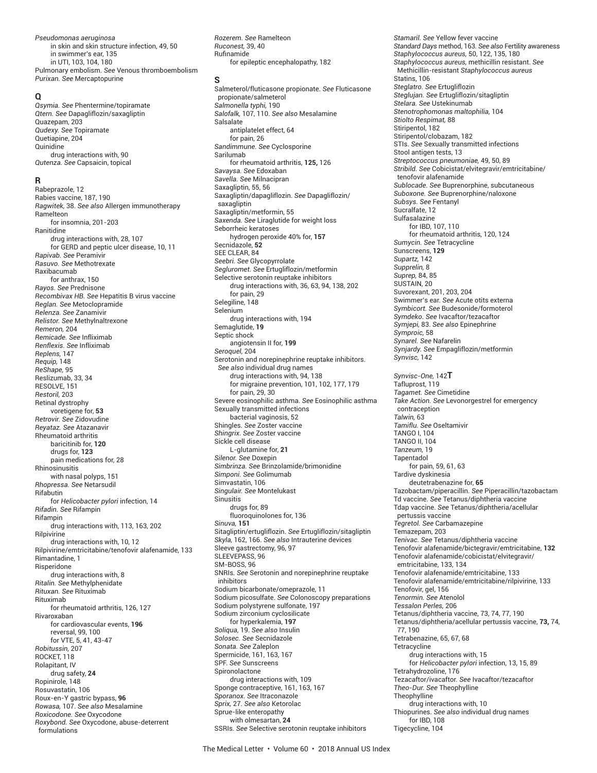*Pseudomonas aeruginosa* in skin and skin structure infection, 49, 50 in swimmer's ear, 135 in UTI, 103, 104, 180 Pulmonary embolism. *See* Venous thromboembolism *Purixan. See* Mercaptopurine

#### **Q**

*Qsymia. See* Phentermine/topiramate *Qtern. See* Dapagliflozin/saxagliptin Quazepam, 203 *Qudexy. See* Topiramate Quetiapine, 204 Quinidine drug interactions with, 90 *Qutenza. See* Capsaicin, topical

#### **R**

Rabeprazole, 12 Rabies vaccine, 187, 190 *Ragwitek,* 38. *See also* Allergen immunotherapy Ramelteon for insomnia, 201-203 Ranitidine drug interactions with, 28, 107 for GERD and peptic ulcer disease, 10, 11 *Rapivab. See* Peramivir *Rasuvo. See* Methotrexate Raxibacumab for anthrax, 150 *Rayos. See* Prednisone *Recombivax HB. See* Hepatitis B virus vaccine *Reglan. See* Metoclopramide *Relenza. See* Zanamivir *Relistor. See* Methylnaltrexone *Remeron,* 204 *Remicade. See* Infliximab *Renflexis. See* Infliximab *Replens,* 147 *Requip,* 148 *ReShape,* 95 Reslizumab, 33, 34 RESOLVE, 151 *Restoril,* 203 Retinal dystrophy voretigene for, **53** *Retrovir. See* Zidovudine *Reyataz. See* Atazanavir Rheumatoid arthritis baricitinib for, **120** drugs for, **123** pain medications for, 28 Rhinosinusitis with nasal polyps, 151 *Rhopressa. See* Netarsudil Rifabutin for *Helicobacter pylori* infection, 14 *Rifadin. See* Rifampin Rifampin drug interactions with, 113, 163, 202 Rilpivirine drug interactions with, 10, 12 Rilpivirine/emtricitabine/tenofovir alafenamide, 133 Rimantadine, 1 Risperidone drug interactions with, 8 *Ritalin. See* Methylphenidate *Rituxan. See* Rituximab Rituximab for rheumatoid arthritis, 126, 127 Rivaroxaban for cardiovascular events, **196** reversal, 99, 100 for VTE, 5, 41, 43-47 *Robitussin,* 207 ROCKET, 118 Rolapitant, IV drug safety, **24** Ropinirole, 148 Rosuvastatin, 106 Roux-en-Y gastric bypass, **96** *Rowasa,* 107. *See also* Mesalamine *Roxicodone. See* Oxycodone *Roxybond. See* Oxycodone, abuse-deterrent formulations

*Rozerem. See* Ramelteon *Ruconest,* 39, 40 Rufinamide for epileptic encephalopathy, 182

#### **S**

Salmeterol/fluticasone propionate. *See* Fluticasone propionate/salmeterol *Salmonella typhi,* 190 *Salofalk,* 107, 110. *See also* Mesalamine Salsalate antiplatelet effect, 64 for pain, 26 *Sandimmune. See* Cyclosporine Sarilumab for rheumatoid arthritis, **125,** 126 *Savaysa. See* Edoxaban *Savella. See* Milnacipran Saxagliptin, 55, 56 Saxagliptin/dapagliflozin. *See* Dapagliflozin/ saxagliptin Saxagliptin/metformin, 55 *Saxenda. See* Liraglutide for weight loss Seborrheic keratoses hydrogen peroxide 40% for, **157** Secnidazole, **52** SEE CLEAR, 84 *Seebri. See* Glycopyrrolate *Segluromet. See* Ertugliflozin/metformin Selective serotonin reuptake inhibitors drug interactions with, 36, 63, 94, 138, 202 for pain, 29 Selegiline, 148 Selenium drug interactions with, 194 Semaglutide, **19** Septic shock angiotensin II for, **199** *Seroquel,* 204 Serotonin and norepinephrine reuptake inhibitors. *See also* individual drug names drug interactions with, 94, 138 for migraine prevention, 101, 102, 177, 179 for pain, 29, 30 Severe eosinophilic asthma. *See* Eosinophilic asthma Sexually transmitted infections bacterial vaginosis, 52 Shingles. *See* Zoster vaccine *Shingrix. See* Zoster vaccine Sickle cell disease L-glutamine for, **21** *Silenor. See* Doxepin *Simbrinza. See* Brinzolamide/brimonidine *Simponi. See* Golimumab Simvastatin, 106 *Singulair. See* Montelukast Sinusitis drugs for, 89 fluoroquinolones for, 136 *Sinuva,* **151** Sitagliptin/ertugliflozin. *See* Ertugliflozin/sitagliptin *Skyla,* 162, 166. *See also* Intrauterine devices Sleeve gastrectomy, 96, 97 SLEEVEPASS, 96 SM-BOSS, 96 SNRIs. *See* Serotonin and norepinephrine reuptake inhibitors Sodium bicarbonate/omeprazole, 11 Sodium picosulfate. *See* Colonoscopy preparations Sodium polystyrene sulfonate, 197 Sodium zirconium cyclosilicate for hyperkalemia, **197** *Soliqua,* 19. *See also* Insulin *Solosec. See* Secnidazole *Sonata. See* Zaleplon Spermicide, 161, 163, 167 SPF. *See* Sunscreens Spironolactone drug interactions with, 109 Sponge contraceptive, 161, 163, 167 *Sporanox. See* Itraconazole *Sprix,* 27. *See also* Ketorolac Sprue-like enteropathy with olmesartan, **24** SSRIs. *See* Selective serotonin reuptake inhibitors

*Stamaril. See* Yellow fever vaccine *Standard Days* method, 163. *See also* Fertility awareness *Staphylococcus aureus,* 50, 122, 135, 180 *Staphylococcus aureus,* methicillin resistant. *See* Methicillin-resistant *Staphylococcus aureus* Statins, 106 *Steglatro. See* Ertugliflozin *Steglujan. See* Ertugliflozin/sitagliptin *Stelara. See* Ustekinumab *Stenotrophomonas maltophilia,* 104 *Stiolto Respimat,* 88 Stiripentol, 182 Stiripentol/clobazam, 182 STIs. *See* Sexually transmitted infections Stool antigen tests, 13 *Streptococcus pneumoniae,* 49, 50, 89 *Stribild. See* Cobicistat/elvitegravir/emtricitabine/ tenofovir alafenamide *Sublocade. See* Buprenorphine, subcutaneous *Suboxone. See* Buprenorphine/naloxone *Subsys. See* Fentanyl Sucralfate, 12 Sulfasalazine for IBD, 107, 110 for rheumatoid arthritis, 120, 124 *Sumycin. See* Tetracycline Sunscreens, **129** *Supartz,* 142 *Supprelin,* 8 *Suprep,* 84, 85 SUSTAIN, 20 Suvorexant, 201, 203, 204 Swimmer's ear. *See* Acute otits externa *Symbicort. See* Budesonide/formoterol *Symdeko. See* Ivacaftor/tezacaftor *Symjepi,* 83. *See also* Epinephrine *Symproic,* 58 *Synarel. See* Nafarelin *Synjardy. See* Empagliflozin/metformin *Synvisc,* 142 *Synvisc-One,* 142**T** Tafluprost, 119 *Tagamet. See* Cimetidine *Take Action. See* Levonorgestrel for emergency contraception *Talwin,* 63 *Tamiflu. See* Oseltamivir TANGO I, 104 TANGO II, 104 *Tanzeum,* 19 Tapentadol for pain, 59, 61, 63 Tardive dyskinesia deutetrabenazine for, **65** Tazobactam/piperacillin. *See* Piperacillin/tazobactam Td vaccine. *See* Tetanus/diphtheria vaccine Tdap vaccine. *See* Tetanus/diphtheria/acellular pertussis vaccine *Tegretol. See* Carbamazepine Temazepam, 203 *Tenivac. See* Tetanus/diphtheria vaccine Tenofovir alafenamide/bictegravir/emtricitabine, **132** Tenofovir alafenamide/cobicistat/elvitegravir/ emtricitabine, 133, 134 Tenofovir alafenamide/emtricitabine, 133 Tenofovir alafenamide/emtricitabine/rilpivirine, 133 Tenofovir, gel, 156 *Tenormin. See* Atenolol *Tessalon Perles,* 206 Tetanus/diphtheria vaccine, 73, 74, 77, 190 Tetanus/diphtheria/acellular pertussis vaccine, **73,** 74, 77, 190 Tetrabenazine, 65, 67, 68 **Tetracycline** drug interactions with, 15 for *Helicobacter pylori* infection, 13, 15, 89 Tetrahydrozoline, 176 Tezacaftor/ivacaftor. *See* Ivacaftor/tezacaftor *Theo-Dur. See* Theophylline **Theophylline** drug interactions with, 10 Thiopurines. *See also* individual drug names for IBD, 108 Tigecycline, 104